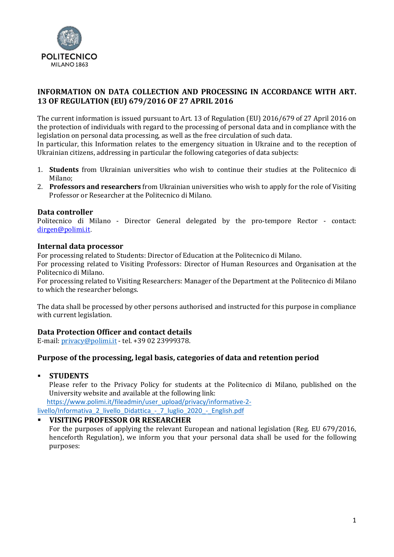

# **INFORMATION ON DATA COLLECTION AND PROCESSING IN ACCORDANCE WITH ART. 13 OF REGULATION (EU) 679/2016 OF 27 APRIL 2016**

The current information is issued pursuant to Art. 13 of Regulation (EU) 2016/679 of 27 April 2016 on the protection of individuals with regard to the processing of personal data and in compliance with the legislation on personal data processing, as well as the free circulation of such data.

In particular, this Information relates to the emergency situation in Ukraine and to the reception of Ukrainian citizens, addressing in particular the following categories of data subjects:

- 1. **Students** from Ukrainian universities who wish to continue their studies at the Politecnico di Milano;
- 2. **Professors and researchers** from Ukrainian universities who wish to apply for the role of Visiting Professor or Researcher at the Politecnico di Milano.

## **Data controller**

Politecnico di Milano - Director General delegated by the pro-tempore Rector - contact: [dirgen@polimi.it](mailto:dirgen@polimi.it).

## **Internal data processor**

For processing related to Students: Director of Education at the Politecnico di Milano.

For processing related to Visiting Professors: Director of Human Resources and Organisation at the Politecnico di Milano.

For processing related to Visiting Researchers: Manager of the Department at the Politecnico di Milano to which the researcher belongs.

The data shall be processed by other persons authorised and instructed for this purpose in compliance with current legislation.

## **Data Protection Officer and contact details**

E-mail: [privacy@polimi.it](mailto:privacy@polimi.it) - tel. +39 02 23999378.

# **Purpose of the processing, legal basis, categories of data and retention period**

## **STUDENTS**

Please refer to the Privacy Policy for students at the Politecnico di Milano, published on the University website and available at the following link:

[https://www.polimi.it/fileadmin/user\\_upload/privacy/informative-2-](https://www.polimi.it/fileadmin/user_upload/privacy/informative-2-livello/Informativa_2_livello_Didattica_-_7_luglio_2020_-_English.pdf)

[livello/Informativa\\_2\\_livello\\_Didattica\\_-\\_7\\_luglio\\_2020\\_-\\_English.pdf](https://www.polimi.it/fileadmin/user_upload/privacy/informative-2-livello/Informativa_2_livello_Didattica_-_7_luglio_2020_-_English.pdf)

## **VISITING PROFESSOR OR RESEARCHER**

For the purposes of applying the relevant European and national legislation (Reg. EU 679/2016, henceforth Regulation), we inform you that your personal data shall be used for the following purposes: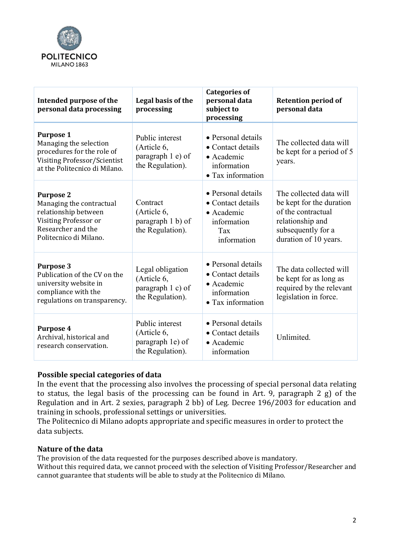

| Intended purpose of the<br>personal data processing                                                                                              | Legal basis of the<br>processing                                         | <b>Categories of</b><br>personal data<br>subject to<br>processing                          | <b>Retention period of</b><br>personal data                                                                                                  |
|--------------------------------------------------------------------------------------------------------------------------------------------------|--------------------------------------------------------------------------|--------------------------------------------------------------------------------------------|----------------------------------------------------------------------------------------------------------------------------------------------|
| <b>Purpose 1</b><br>Managing the selection<br>procedures for the role of<br><b>Visiting Professor/Scientist</b><br>at the Politecnico di Milano. | Public interest<br>(Article 6,<br>paragraph 1 e) of<br>the Regulation).  | • Personal details<br>• Contact details<br>• Academic<br>information<br>• Tax information  | The collected data will<br>be kept for a period of 5<br>years.                                                                               |
| <b>Purpose 2</b><br>Managing the contractual<br>relationship between<br>Visiting Professor or<br>Researcher and the<br>Politecnico di Milano.    | Contract<br>(Article 6,<br>paragraph 1 b) of<br>the Regulation).         | • Personal details<br>• Contact details<br>• Academic<br>information<br>Tax<br>information | The collected data will<br>be kept for the duration<br>of the contractual<br>relationship and<br>subsequently for a<br>duration of 10 years. |
| <b>Purpose 3</b><br>Publication of the CV on the<br>university website in<br>compliance with the<br>regulations on transparency.                 | Legal obligation<br>(Article 6,<br>paragraph 1 c) of<br>the Regulation). | • Personal details<br>• Contact details<br>• Academic<br>information<br>• Tax information  | The data collected will<br>be kept for as long as<br>required by the relevant<br>legislation in force.                                       |
| <b>Purpose 4</b><br>Archival, historical and<br>research conservation.                                                                           | Public interest<br>(Article 6,<br>paragraph 1e) of<br>the Regulation).   | • Personal details<br>• Contact details<br>• Academic<br>information                       | Unlimited.                                                                                                                                   |

# **Possible special categories of data**

In the event that the processing also involves the processing of special personal data relating to status, the legal basis of the processing can be found in Art. 9, paragraph 2 g) of the Regulation and in Art. 2 sexies, paragraph 2 bb) of Leg. Decree 196/2003 for education and training in schools, professional settings or universities.

The Politecnico di Milano adopts appropriate and specific measures in order to protect the data subjects.

# **Nature of the data**

The provision of the data requested for the purposes described above is mandatory.

Without this required data, we cannot proceed with the selection of Visiting Professor/Researcher and cannot guarantee that students will be able to study at the Politecnico di Milano.